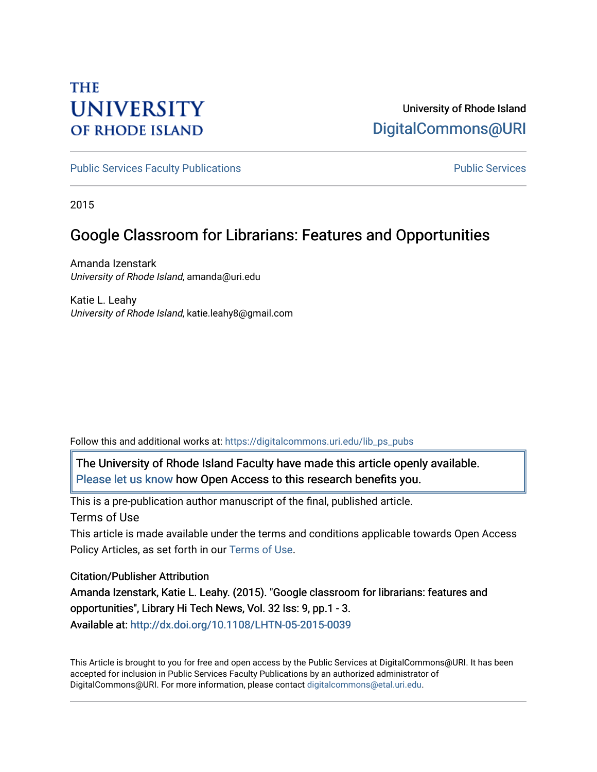# **THE UNIVERSITY OF RHODE ISLAND**

# University of Rhode Island [DigitalCommons@URI](https://digitalcommons.uri.edu/)

[Public Services Faculty Publications](https://digitalcommons.uri.edu/lib_ps_pubs) **Public Services** Public Services

2015

# Google Classroom for Librarians: Features and Opportunities

Amanda Izenstark University of Rhode Island, amanda@uri.edu

Katie L. Leahy University of Rhode Island, katie.leahy8@gmail.com

Follow this and additional works at: [https://digitalcommons.uri.edu/lib\\_ps\\_pubs](https://digitalcommons.uri.edu/lib_ps_pubs?utm_source=digitalcommons.uri.edu%2Flib_ps_pubs%2F16&utm_medium=PDF&utm_campaign=PDFCoverPages) 

The University of Rhode Island Faculty have made this article openly available. [Please let us know](http://web.uri.edu/library-digital-initiatives/open-access-online-form/) how Open Access to this research benefits you.

This is a pre-publication author manuscript of the final, published article.

Terms of Use

This article is made available under the terms and conditions applicable towards Open Access Policy Articles, as set forth in our [Terms of Use](https://digitalcommons.uri.edu/lib_ps_pubs/oa_policy_terms.html).

# Citation/Publisher Attribution

Amanda Izenstark, Katie L. Leahy. (2015). "Google classroom for librarians: features and opportunities", Library Hi Tech News, Vol. 32 Iss: 9, pp.1 - 3. Available at: <http://dx.doi.org/10.1108/LHTN-05-2015-0039>

This Article is brought to you for free and open access by the Public Services at DigitalCommons@URI. It has been accepted for inclusion in Public Services Faculty Publications by an authorized administrator of DigitalCommons@URI. For more information, please contact [digitalcommons@etal.uri.edu.](mailto:digitalcommons@etal.uri.edu)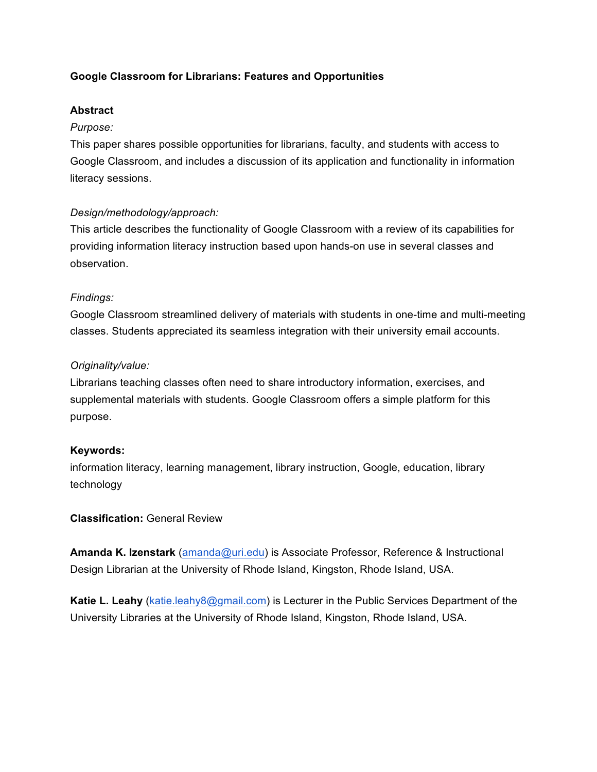# **Google Classroom for Librarians: Features and Opportunities**

#### **Abstract**

#### *Purpose:*

This paper shares possible opportunities for librarians, faculty, and students with access to Google Classroom, and includes a discussion of its application and functionality in information literacy sessions.

# *Design/methodology/approach:*

This article describes the functionality of Google Classroom with a review of its capabilities for providing information literacy instruction based upon hands-on use in several classes and observation.

# *Findings:*

Google Classroom streamlined delivery of materials with students in one-time and multi-meeting classes. Students appreciated its seamless integration with their university email accounts.

# *Originality/value:*

Librarians teaching classes often need to share introductory information, exercises, and supplemental materials with students. Google Classroom offers a simple platform for this purpose.

#### **Keywords:**

information literacy, learning management, library instruction, Google, education, library technology

**Classification:** General Review

**Amanda K. Izenstark** (amanda@uri.edu) is Associate Professor, Reference & Instructional Design Librarian at the University of Rhode Island, Kingston, Rhode Island, USA.

**Katie L. Leahy** (katie.leahy8@gmail.com) is Lecturer in the Public Services Department of the University Libraries at the University of Rhode Island, Kingston, Rhode Island, USA.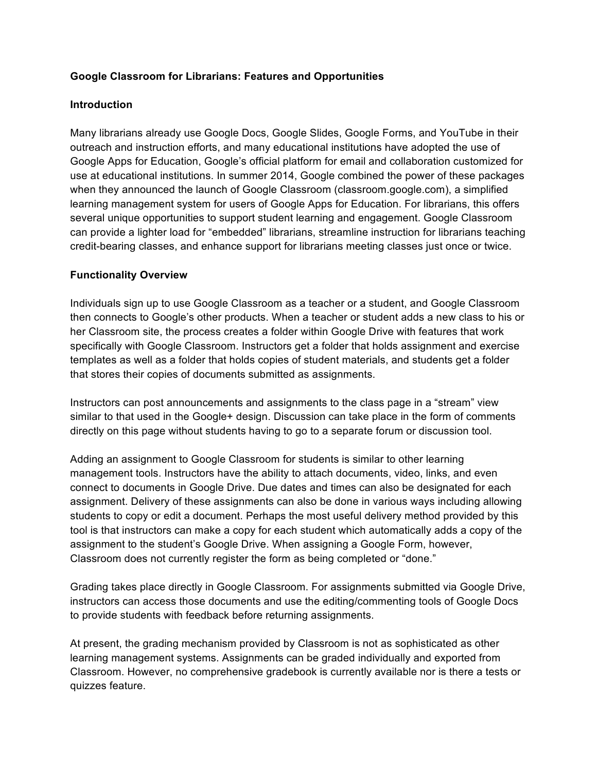# **Google Classroom for Librarians: Features and Opportunities**

#### **Introduction**

Many librarians already use Google Docs, Google Slides, Google Forms, and YouTube in their outreach and instruction efforts, and many educational institutions have adopted the use of Google Apps for Education, Google's official platform for email and collaboration customized for use at educational institutions. In summer 2014, Google combined the power of these packages when they announced the launch of Google Classroom (classroom.google.com), a simplified learning management system for users of Google Apps for Education. For librarians, this offers several unique opportunities to support student learning and engagement. Google Classroom can provide a lighter load for "embedded" librarians, streamline instruction for librarians teaching credit-bearing classes, and enhance support for librarians meeting classes just once or twice.

#### **Functionality Overview**

Individuals sign up to use Google Classroom as a teacher or a student, and Google Classroom then connects to Google's other products. When a teacher or student adds a new class to his or her Classroom site, the process creates a folder within Google Drive with features that work specifically with Google Classroom. Instructors get a folder that holds assignment and exercise templates as well as a folder that holds copies of student materials, and students get a folder that stores their copies of documents submitted as assignments.

Instructors can post announcements and assignments to the class page in a "stream" view similar to that used in the Google+ design. Discussion can take place in the form of comments directly on this page without students having to go to a separate forum or discussion tool.

Adding an assignment to Google Classroom for students is similar to other learning management tools. Instructors have the ability to attach documents, video, links, and even connect to documents in Google Drive. Due dates and times can also be designated for each assignment. Delivery of these assignments can also be done in various ways including allowing students to copy or edit a document. Perhaps the most useful delivery method provided by this tool is that instructors can make a copy for each student which automatically adds a copy of the assignment to the student's Google Drive. When assigning a Google Form, however, Classroom does not currently register the form as being completed or "done."

Grading takes place directly in Google Classroom. For assignments submitted via Google Drive, instructors can access those documents and use the editing/commenting tools of Google Docs to provide students with feedback before returning assignments.

At present, the grading mechanism provided by Classroom is not as sophisticated as other learning management systems. Assignments can be graded individually and exported from Classroom. However, no comprehensive gradebook is currently available nor is there a tests or quizzes feature.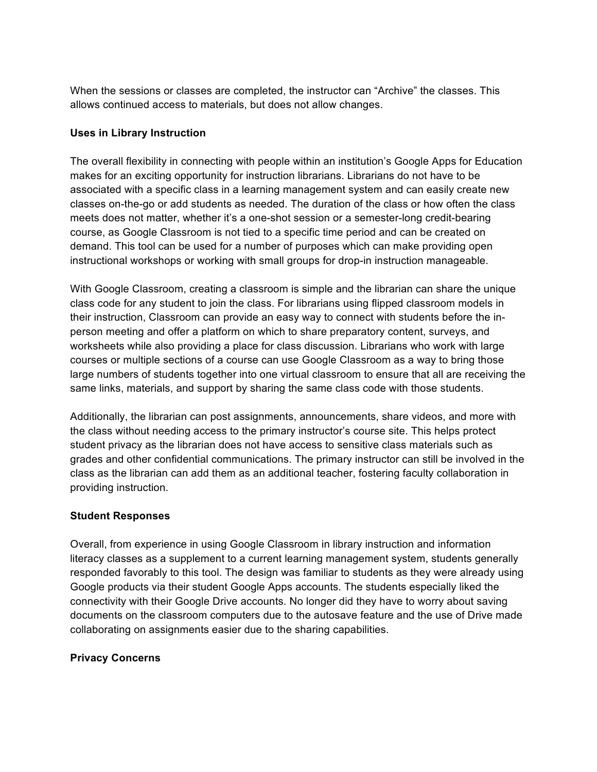When the sessions or classes are completed, the instructor can "Archive" the classes. This allows continued access to materials, but does not allow changes.

# **Uses in Library Instruction**

The overall flexibility in connecting with people within an institution's Google Apps for Education makes for an exciting opportunity for instruction librarians. Librarians do not have to be associated with a specific class in a learning management system and can easily create new classes on-the-go or add students as needed. The duration of the class or how often the class meets does not matter, whether it's a one-shot session or a semester-long credit-bearing course, as Google Classroom is not tied to a specific time period and can be created on demand. This tool can be used for a number of purposes which can make providing open instructional workshops or working with small groups for drop-in instruction manageable.

With Google Classroom, creating a classroom is simple and the librarian can share the unique class code for any student to join the class. For librarians using flipped classroom models in their instruction, Classroom can provide an easy way to connect with students before the inperson meeting and offer a platform on which to share preparatory content, surveys, and worksheets while also providing a place for class discussion. Librarians who work with large courses or multiple sections of a course can use Google Classroom as a way to bring those large numbers of students together into one virtual classroom to ensure that all are receiving the same links, materials, and support by sharing the same class code with those students.

Additionally, the librarian can post assignments, announcements, share videos, and more with the class without needing access to the primary instructor's course site. This helps protect student privacy as the librarian does not have access to sensitive class materials such as grades and other confidential communications. The primary instructor can still be involved in the class as the librarian can add them as an additional teacher, fostering faculty collaboration in providing instruction.

#### **Student Responses**

Overall, from experience in using Google Classroom in library instruction and information literacy classes as a supplement to a current learning management system, students generally responded favorably to this tool. The design was familiar to students as they were already using Google products via their student Google Apps accounts. The students especially liked the connectivity with their Google Drive accounts. No longer did they have to worry about saving documents on the classroom computers due to the autosave feature and the use of Drive made collaborating on assignments easier due to the sharing capabilities.

#### **Privacy Concerns**